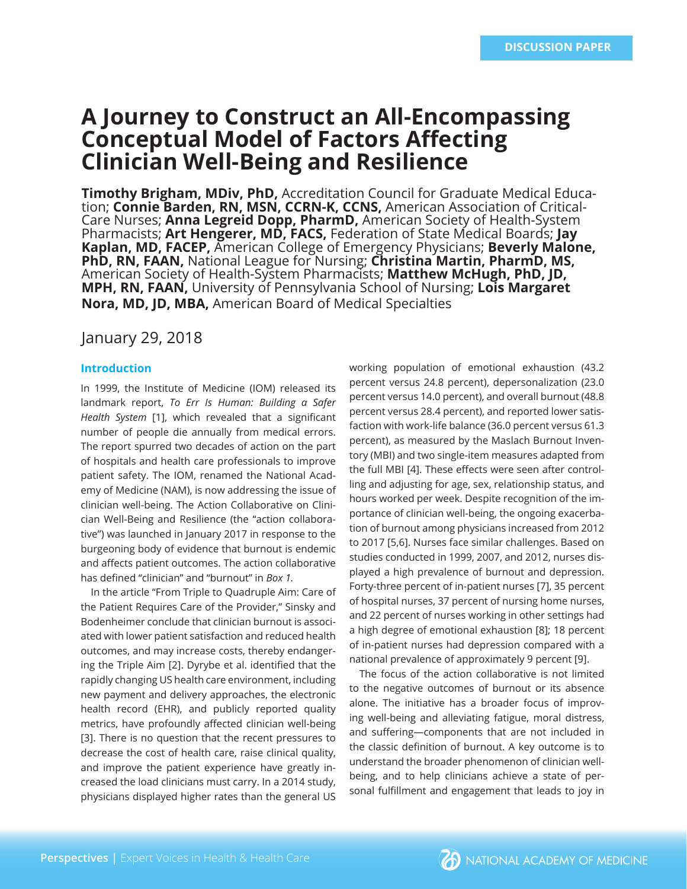# **A Journey to Construct an All-Encompassing Conceptual Model of Factors Affecting Clinician Well-Being and Resilience**

**Timothy Brigham, MDiv, PhD,** Accreditation Council for Graduate Medical Education; **Connie Barden, RN, MSN, CCRN-K, CCNS,** American Association of Critical-Care Nurses; **Anna Legreid Dopp, PharmD,** American Society of Health-System Pharmacists; **Art Hengerer, MD, FACS,** Federation of State Medical Boards; **Jay Kaplan, MD, FACEP,** American College of Emergency Physicians; **Beverly Malone, PhD, RN, FAAN,** National League for Nursing; **Christina Martin, PharmD, MS,**  American Society of Health-System Pharmacists; **Matthew McHugh, PhD, JD, MPH, RN, FAAN,** University of Pennsylvania School of Nursing; **Lois Margaret Nora, MD, JD, MBA,** American Board of Medical Specialties

## January 29, 2018

## **Introduction**

In 1999, the Institute of Medicine (IOM) released its landmark report, *To Err Is Human: Building a Safer Health System* [1], which revealed that a significant number of people die annually from medical errors. The report spurred two decades of action on the part of hospitals and health care professionals to improve patient safety. The IOM, renamed the National Academy of Medicine (NAM), is now addressing the issue of clinician well-being. The Action Collaborative on Clinician Well-Being and Resilience (the "action collaborative") was launched in January 2017 in response to the burgeoning body of evidence that burnout is endemic and affects patient outcomes. The action collaborative has defined "clinician" and "burnout" in *Box 1.*

In the article "From Triple to Quadruple Aim: Care of the Patient Requires Care of the Provider," Sinsky and Bodenheimer conclude that clinician burnout is associated with lower patient satisfaction and reduced health outcomes, and may increase costs, thereby endangering the Triple Aim [2]. Dyrybe et al. identified that the rapidly changing US health care environment, including new payment and delivery approaches, the electronic health record (EHR), and publicly reported quality metrics, have profoundly affected clinician well-being [3]. There is no question that the recent pressures to decrease the cost of health care, raise clinical quality, and improve the patient experience have greatly increased the load clinicians must carry. In a 2014 study, physicians displayed higher rates than the general US working population of emotional exhaustion (43.2 percent versus 24.8 percent), depersonalization (23.0 percent versus 14.0 percent), and overall burnout (48.8 percent versus 28.4 percent), and reported lower satisfaction with work-life balance (36.0 percent versus 61.3 percent), as measured by the Maslach Burnout Inventory (MBI) and two single-item measures adapted from the full MBI [4]. These effects were seen after controlling and adjusting for age, sex, relationship status, and hours worked per week. Despite recognition of the importance of clinician well-being, the ongoing exacerbation of burnout among physicians increased from 2012 to 2017 [5,6]. Nurses face similar challenges. Based on studies conducted in 1999, 2007, and 2012, nurses displayed a high prevalence of burnout and depression. Forty-three percent of in-patient nurses [7], 35 percent of hospital nurses, 37 percent of nursing home nurses, and 22 percent of nurses working in other settings had a high degree of emotional exhaustion [8]; 18 percent of in-patient nurses had depression compared with a national prevalence of approximately 9 percent [9].

The focus of the action collaborative is not limited to the negative outcomes of burnout or its absence alone. The initiative has a broader focus of improving well-being and alleviating fatigue, moral distress, and suffering—components that are not included in the classic definition of burnout. A key outcome is to understand the broader phenomenon of clinician wellbeing, and to help clinicians achieve a state of personal fulfillment and engagement that leads to joy in

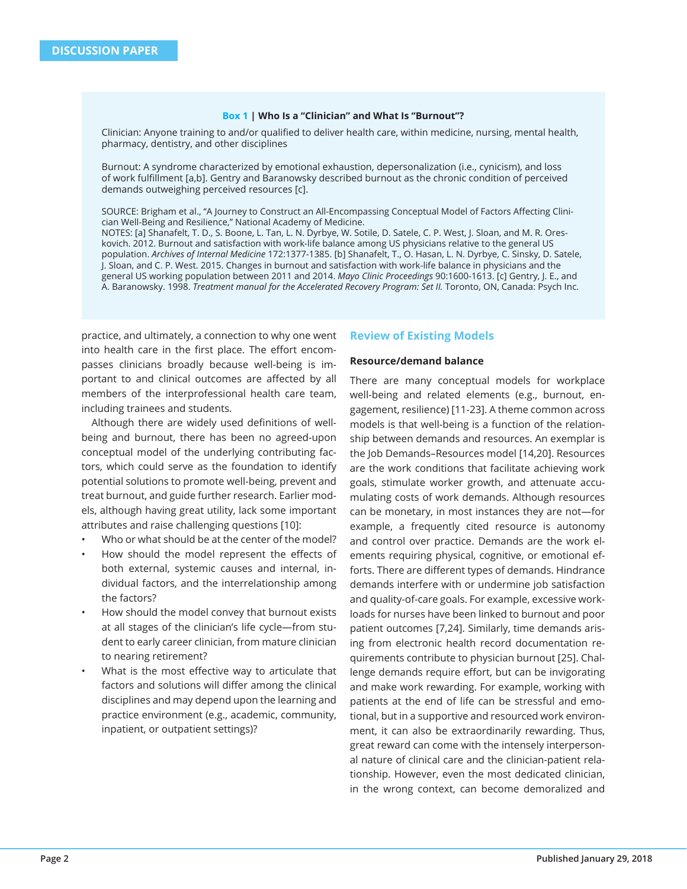#### **Box 1 | Who Is a "Clinician" and What Is "Burnout"?**

Clinician: Anyone training to and/or qualified to deliver health care, within medicine, nursing, mental health, pharmacy, dentistry, and other disciplines

Burnout: A syndrome characterized by emotional exhaustion, depersonalization (i.e., cynicism), and loss of work fulfillment [a,b]. Gentry and Baranowsky described burnout as the chronic condition of perceived demands outweighing perceived resources [c].

SOURCE: Brigham et al., "A Journey to Construct an All-Encompassing Conceptual Model of Factors Affecting Clinician Well-Being and Resilience," National Academy of Medicine. NOTES: [a] Shanafelt, T. D., S. Boone, L. Tan, L. N. Dyrbye, W. Sotile, D. Satele, C. P. West, J. Sloan, and M. R. Oreskovich. 2012. Burnout and satisfaction with work-life balance among US physicians relative to the general US population. *Archives of Internal Medicine* 172:1377-1385. [b] Shanafelt, T., O. Hasan, L. N. Dyrbye, C. Sinsky, D. Satele, J. Sloan, and C. P. West. 2015. Changes in burnout and satisfaction with work-life balance in physicians and the general US working population between 2011 and 2014. *Mayo Clinic Proceedings* 90:1600-1613. [c] Gentry, J. E., and

A. Baranowsky. 1998. *Treatment manual for the Accelerated Recovery Program: Set II.* Toronto, ON, Canada: Psych Inc.

practice, and ultimately, a connection to why one went into health care in the first place. The effort encompasses clinicians broadly because well-being is important to and clinical outcomes are affected by all members of the interprofessional health care team, including trainees and students.

Although there are widely used definitions of wellbeing and burnout, there has been no agreed-upon conceptual model of the underlying contributing factors, which could serve as the foundation to identify potential solutions to promote well-being, prevent and treat burnout, and guide further research. Earlier models, although having great utility, lack some important attributes and raise challenging questions [10]:

- Who or what should be at the center of the model?
- How should the model represent the effects of both external, systemic causes and internal, individual factors, and the interrelationship among the factors?
- How should the model convey that burnout exists at all stages of the clinician's life cycle—from student to early career clinician, from mature clinician to nearing retirement?
- What is the most effective way to articulate that factors and solutions will differ among the clinical disciplines and may depend upon the learning and practice environment (e.g., academic, community, inpatient, or outpatient settings)?

#### **Review of Existing Models**

#### **Resource/demand balance**

There are many conceptual models for workplace well-being and related elements (e.g., burnout, engagement, resilience) [11-23]. A theme common across models is that well-being is a function of the relationship between demands and resources. An exemplar is the Job Demands–Resources model [14,20]. Resources are the work conditions that facilitate achieving work goals, stimulate worker growth, and attenuate accumulating costs of work demands. Although resources can be monetary, in most instances they are not—for example, a frequently cited resource is autonomy and control over practice. Demands are the work elements requiring physical, cognitive, or emotional efforts. There are different types of demands. Hindrance demands interfere with or undermine job satisfaction and quality-of-care goals. For example, excessive workloads for nurses have been linked to burnout and poor patient outcomes [7,24]. Similarly, time demands arising from electronic health record documentation requirements contribute to physician burnout [25]. Challenge demands require effort, but can be invigorating and make work rewarding. For example, working with patients at the end of life can be stressful and emotional, but in a supportive and resourced work environment, it can also be extraordinarily rewarding. Thus, great reward can come with the intensely interpersonal nature of clinical care and the clinician-patient relationship. However, even the most dedicated clinician, in the wrong context, can become demoralized and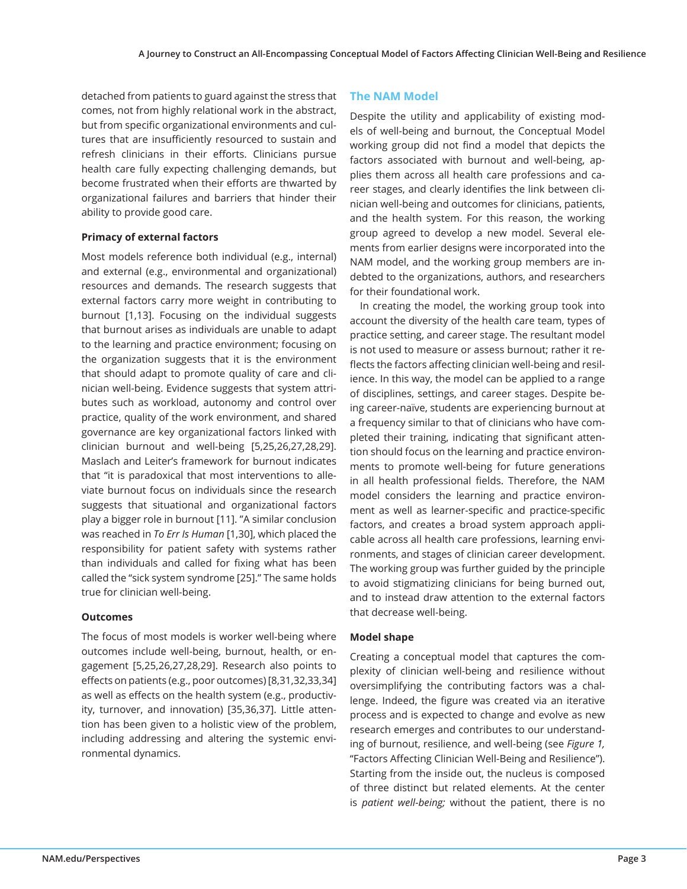detached from patients to guard against the stress that comes, not from highly relational work in the abstract, but from specific organizational environments and cultures that are insufficiently resourced to sustain and refresh clinicians in their efforts. Clinicians pursue health care fully expecting challenging demands, but become frustrated when their efforts are thwarted by organizational failures and barriers that hinder their ability to provide good care.

## **Primacy of external factors**

Most models reference both individual (e.g., internal) and external (e.g., environmental and organizational) resources and demands. The research suggests that external factors carry more weight in contributing to burnout [1,13]. Focusing on the individual suggests that burnout arises as individuals are unable to adapt to the learning and practice environment; focusing on the organization suggests that it is the environment that should adapt to promote quality of care and clinician well-being. Evidence suggests that system attributes such as workload, autonomy and control over practice, quality of the work environment, and shared governance are key organizational factors linked with clinician burnout and well-being [5,25,26,27,28,29]. Maslach and Leiter's framework for burnout indicates that "it is paradoxical that most interventions to alleviate burnout focus on individuals since the research suggests that situational and organizational factors play a bigger role in burnout [11]. "A similar conclusion was reached in *To Err Is Human* [1,30], which placed the responsibility for patient safety with systems rather than individuals and called for fixing what has been called the "sick system syndrome [25]." The same holds true for clinician well-being.

#### **Outcomes**

The focus of most models is worker well-being where outcomes include well-being, burnout, health, or engagement [5,25,26,27,28,29]. Research also points to effects on patients (e.g., poor outcomes) [8,31,32,33,34] as well as effects on the health system (e.g., productivity, turnover, and innovation) [35,36,37]. Little attention has been given to a holistic view of the problem, including addressing and altering the systemic environmental dynamics.

## **The NAM Model**

Despite the utility and applicability of existing models of well-being and burnout, the Conceptual Model working group did not find a model that depicts the factors associated with burnout and well-being, applies them across all health care professions and career stages, and clearly identifies the link between clinician well-being and outcomes for clinicians, patients, and the health system. For this reason, the working group agreed to develop a new model. Several elements from earlier designs were incorporated into the NAM model, and the working group members are indebted to the organizations, authors, and researchers for their foundational work.

In creating the model, the working group took into account the diversity of the health care team, types of practice setting, and career stage. The resultant model is not used to measure or assess burnout; rather it reflects the factors affecting clinician well-being and resilience. In this way, the model can be applied to a range of disciplines, settings, and career stages. Despite being career-naïve, students are experiencing burnout at a frequency similar to that of clinicians who have completed their training, indicating that significant attention should focus on the learning and practice environments to promote well-being for future generations in all health professional fields. Therefore, the NAM model considers the learning and practice environment as well as learner-specific and practice-specific factors, and creates a broad system approach applicable across all health care professions, learning environments, and stages of clinician career development. The working group was further guided by the principle to avoid stigmatizing clinicians for being burned out, and to instead draw attention to the external factors that decrease well-being.

## **Model shape**

Creating a conceptual model that captures the complexity of clinician well-being and resilience without oversimplifying the contributing factors was a challenge. Indeed, the figure was created via an iterative process and is expected to change and evolve as new research emerges and contributes to our understanding of burnout, resilience, and well-being (see *Figure 1,*  "Factors Affecting Clinician Well-Being and Resilience"). Starting from the inside out, the nucleus is composed of three distinct but related elements. At the center is *patient well-being;* without the patient, there is no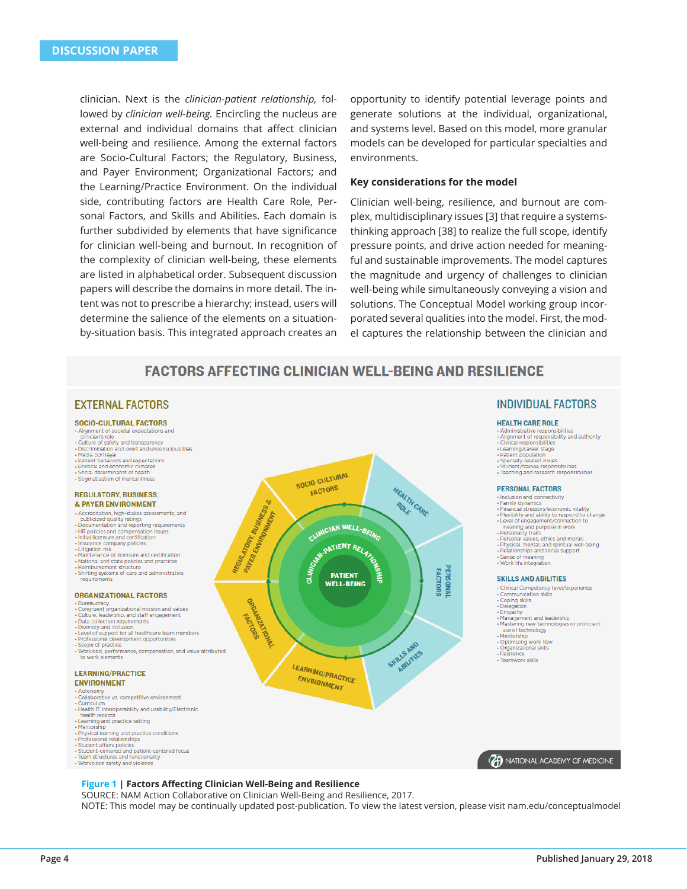clinician. Next is the *clinician-patient relationship,* followed by *clinician well-being.* Encircling the nucleus are external and individual domains that affect clinician well-being and resilience. Among the external factors are Socio-Cultural Factors; the Regulatory, Business, and Payer Environment; Organizational Factors; and the Learning/Practice Environment. On the individual side, contributing factors are Health Care Role, Personal Factors, and Skills and Abilities. Each domain is further subdivided by elements that have significance for clinician well-being and burnout. In recognition of the complexity of clinician well-being, these elements are listed in alphabetical order. Subsequent discussion papers will describe the domains in more detail. The intent was not to prescribe a hierarchy; instead, users will determine the salience of the elements on a situationby-situation basis. This integrated approach creates an

opportunity to identify potential leverage points and generate solutions at the individual, organizational, and systems level. Based on this model, more granular models can be developed for particular specialties and environments.

#### **Key considerations for the model**

Clinician well-being, resilience, and burnout are complex, multidisciplinary issues [3] that require a systemsthinking approach [38] to realize the full scope, identify pressure points, and drive action needed for meaningful and sustainable improvements. The model captures the magnitude and urgency of challenges to clinician well-being while simultaneously conveying a vision and solutions. The Conceptual Model working group incorporated several qualities into the model. First, the model captures the relationship between the clinician and

## **FACTORS AFFECTING CLINICIAN WELL-BEING AND RESILIENCE**

#### **EXTERNAL FACTORS**

#### SOCIO-CULTURAL FACTORS

- · Alignment of societal expectations and
- clinician's role<br>• Culture of safety and transparency
- nination and overt and unconscious bias Media portraval
- Patient behaviors and expectations
- Political and economic climates<br>Social determinants of health
- · Stigmatization of mental illness

#### **REGULATORY, BUSINESS. & PAYER ENVIRONMENT**

- es assessments, and
- 
- Accreditation, high-stakes assessments, and<br>publicized quality ratings<br>- Documentation and reporting requirements<br>- HR policies and compensation issues<br>- Initial licensure and certification<br>-
- 
- Insurance company policies
- Litigation risk<br>Maintenance of licensure and certification
- · National and state policies and practices
- Reimbursement structure · Shifting systems of care and administrative
- requirements

#### **ORGANIZATIONAL FACTORS**

- .<br>Bureaucracy<br>• Congruent organizational mission and values<br>• Culture, leadership, and staff engagement
- 
- · Data collection requirements . Diversity and Inclusion
- · Level of support for all healthcare team members
- · Professional development opportunities · Scope of practice
- Workload, performance, compensation, and value attributed<br>to work elements - Worklo

#### **LEARNING/PRACTICE**

## **ENVIRONMENT**

- · Autonomy · Collaborative vs. competitive environment
- Curriculum<br>• Health IT interoperability and usability/Electronic
- health records
- nearning and practice setting
- Mentorship . Physical learning and practice conditions
- Professional relationships
- Student affairs policies - Student-centered and patient-centered focus
- Team structures and functionality
- Workplace safety and violence



#### **INDIVIDUAL FACTORS**

#### **HEALTH CARE ROLE**

- Administrative responsibilities<br>• Alignment of responsibility and authority<br>• Clinical responsibilities
- 
- · Learning/career stage · Patient population
- Specialty related issues
- · Student/trainee responsibilities<br>· Teaching and research responsibilities

#### **PERSONAL FACTORS**

- · Inclusion and connectivity Family dynamics
- Financial stressors/economic vitality
- · Flexibility and ability to respond to change
- Level of engagement/connection to
- Level of engagement/connective<br>meaning and purpose in work<br>Personality traits meaning and purpose in work<br>• Personality traits<br>• Personal values, ethics and morals<br>• Physical, mental, and spiritual well<br>• Relationships and social support
- iritual well-being
- 
- Relationships and soot .<br>Sense of meaning<br>Work-life integration .

#### **SKILLS AND ARILITIES**

- · Clinical Competency level/experience
- Communication skills
- Coping skills<br>Delegation
- Empathy
- Management and leadership · Mastering new technologies or proficient

**B** NATIONAL ACADEMY OF MEDICINE

- use of technology
- · Mentorship
- 
- Mentorship<br>• Optimizing work flow<br>• Organizational skills<br>• Resilience
- Resilience<br>• Toamwork skills

#### **Figure 1 | Factors Affecting Clinician Well-Being and Resilience**

SOURCE: NAM Action Collaborative on Clinician Well-Being and Resilience, 2017. NOTE: This model may be continually updated post-publication. To view the latest version, please visit nam.edu/conceptualmodel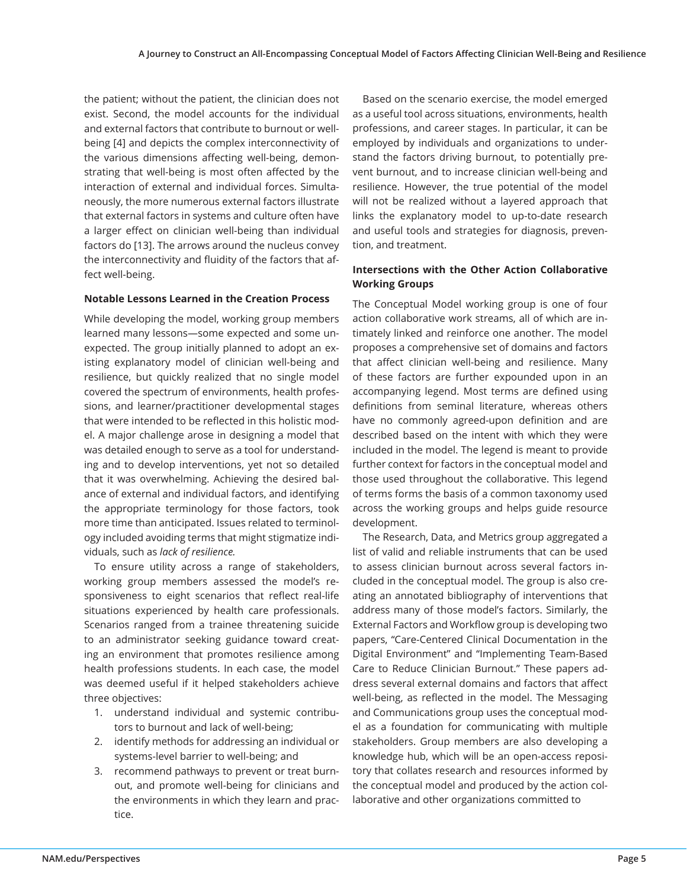the patient; without the patient, the clinician does not exist. Second, the model accounts for the individual and external factors that contribute to burnout or wellbeing [4] and depicts the complex interconnectivity of the various dimensions affecting well-being, demonstrating that well-being is most often affected by the interaction of external and individual forces. Simultaneously, the more numerous external factors illustrate that external factors in systems and culture often have a larger effect on clinician well-being than individual factors do [13]. The arrows around the nucleus convey the interconnectivity and fluidity of the factors that affect well-being.

## **Notable Lessons Learned in the Creation Process**

While developing the model, working group members learned many lessons—some expected and some unexpected. The group initially planned to adopt an existing explanatory model of clinician well-being and resilience, but quickly realized that no single model covered the spectrum of environments, health professions, and learner/practitioner developmental stages that were intended to be reflected in this holistic model. A major challenge arose in designing a model that was detailed enough to serve as a tool for understanding and to develop interventions, yet not so detailed that it was overwhelming. Achieving the desired balance of external and individual factors, and identifying the appropriate terminology for those factors, took more time than anticipated. Issues related to terminology included avoiding terms that might stigmatize individuals, such as *lack of resilience.* 

To ensure utility across a range of stakeholders, working group members assessed the model's responsiveness to eight scenarios that reflect real-life situations experienced by health care professionals. Scenarios ranged from a trainee threatening suicide to an administrator seeking guidance toward creating an environment that promotes resilience among health professions students. In each case, the model was deemed useful if it helped stakeholders achieve three objectives:

- 1. understand individual and systemic contributors to burnout and lack of well-being;
- 2. identify methods for addressing an individual or systems-level barrier to well-being; and
- 3. recommend pathways to prevent or treat burnout, and promote well-being for clinicians and the environments in which they learn and practice.

Based on the scenario exercise, the model emerged as a useful tool across situations, environments, health professions, and career stages. In particular, it can be employed by individuals and organizations to understand the factors driving burnout, to potentially prevent burnout, and to increase clinician well-being and resilience. However, the true potential of the model will not be realized without a layered approach that links the explanatory model to up-to-date research and useful tools and strategies for diagnosis, prevention, and treatment.

## **Intersections with the Other Action Collaborative Working Groups**

The Conceptual Model working group is one of four action collaborative work streams, all of which are intimately linked and reinforce one another. The model proposes a comprehensive set of domains and factors that affect clinician well-being and resilience. Many of these factors are further expounded upon in an accompanying legend. Most terms are defined using definitions from seminal literature, whereas others have no commonly agreed-upon definition and are described based on the intent with which they were included in the model. The legend is meant to provide further context for factors in the conceptual model and those used throughout the collaborative. This legend of terms forms the basis of a common taxonomy used across the working groups and helps guide resource development.

The Research, Data, and Metrics group aggregated a list of valid and reliable instruments that can be used to assess clinician burnout across several factors included in the conceptual model. The group is also creating an annotated bibliography of interventions that address many of those model's factors. Similarly, the External Factors and Workflow group is developing two papers, "Care-Centered Clinical Documentation in the Digital Environment" and "Implementing Team-Based Care to Reduce Clinician Burnout." These papers address several external domains and factors that affect well-being, as reflected in the model. The Messaging and Communications group uses the conceptual model as a foundation for communicating with multiple stakeholders. Group members are also developing a knowledge hub, which will be an open-access repository that collates research and resources informed by the conceptual model and produced by the action collaborative and other organizations committed to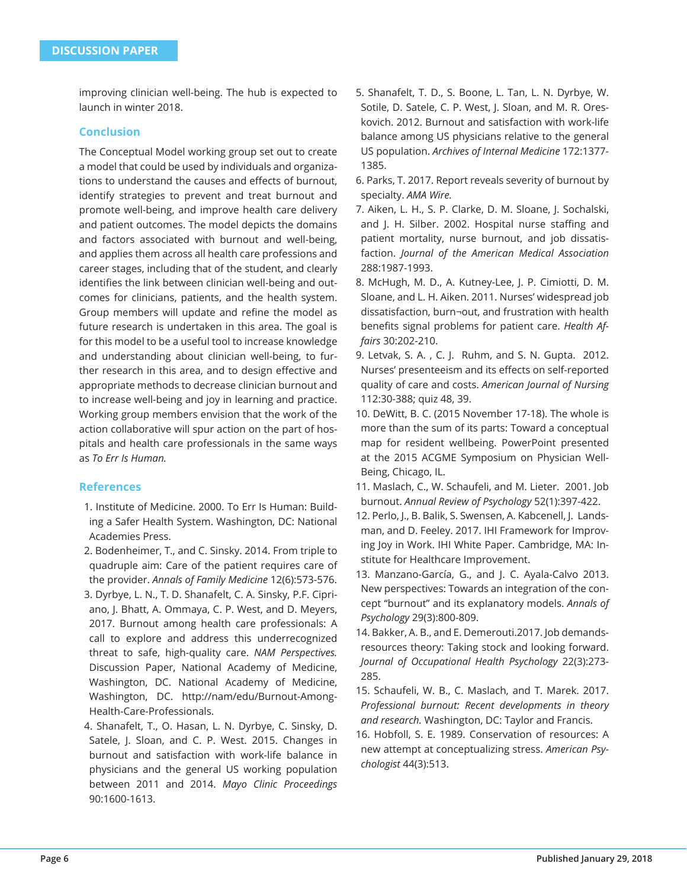improving clinician well-being. The hub is expected to launch in winter 2018.

## **Conclusion**

The Conceptual Model working group set out to create a model that could be used by individuals and organizations to understand the causes and effects of burnout, identify strategies to prevent and treat burnout and promote well-being, and improve health care delivery and patient outcomes. The model depicts the domains and factors associated with burnout and well-being, and applies them across all health care professions and career stages, including that of the student, and clearly identifies the link between clinician well-being and outcomes for clinicians, patients, and the health system. Group members will update and refine the model as future research is undertaken in this area. The goal is for this model to be a useful tool to increase knowledge and understanding about clinician well-being, to further research in this area, and to design effective and appropriate methods to decrease clinician burnout and to increase well-being and joy in learning and practice. Working group members envision that the work of the action collaborative will spur action on the part of hospitals and health care professionals in the same ways as *To Err Is Human.* 

## **References**

- 1. Institute of Medicine. 2000. To Err Is Human: Building a Safer Health System. Washington, DC: National Academies Press.
- 2. Bodenheimer, T., and C. Sinsky. 2014. From triple to quadruple aim: Care of the patient requires care of the provider. *Annals of Family Medicine* 12(6):573-576.
- 3. Dyrbye, L. N., T. D. Shanafelt, C. A. Sinsky, P.F. Cipriano, J. Bhatt, A. Ommaya, C. P. West, and D. Meyers, 2017. Burnout among health care professionals: A call to explore and address this underrecognized threat to safe, high-quality care. *NAM Perspectives.*  Discussion Paper, National Academy of Medicine, Washington, DC. National Academy of Medicine, Washington, DC. http://nam/edu/Burnout-Among-Health-Care-Professionals.
- 4. Shanafelt, T., O. Hasan, L. N. Dyrbye, C. Sinsky, D. Satele, J. Sloan, and C. P. West. 2015. Changes in burnout and satisfaction with work-life balance in physicians and the general US working population between 2011 and 2014. *Mayo Clinic Proceedings* 90:1600-1613.
- 5. Shanafelt, T. D., S. Boone, L. Tan, L. N. Dyrbye, W. Sotile, D. Satele, C. P. West, J. Sloan, and M. R. Oreskovich. 2012. Burnout and satisfaction with work-life balance among US physicians relative to the general US population. *Archives of Internal Medicine* 172:1377- 1385.
- 6. Parks, T. 2017. Report reveals severity of burnout by specialty. *AMA Wire.*
- 7. Aiken, L. H., S. P. Clarke, D. M. Sloane, J. Sochalski, and J. H. Silber. 2002. Hospital nurse staffing and patient mortality, nurse burnout, and job dissatisfaction. *Journal of the American Medical Association*  288:1987-1993.
- 8. McHugh, M. D., A. Kutney-Lee, J. P. Cimiotti, D. M. Sloane, and L. H. Aiken. 2011. Nurses' widespread job dissatisfaction, burn¬out, and frustration with health benefits signal problems for patient care. *Health Affairs* 30:202-210.
- 9. Letvak, S. A. , C. J. Ruhm, and S. N. Gupta. 2012. Nurses' presenteeism and its effects on self-reported quality of care and costs. *American Journal of Nursing* 112:30-388; quiz 48, 39.
- 10. DeWitt, B. C. (2015 November 17-18). The whole is more than the sum of its parts: Toward a conceptual map for resident wellbeing. PowerPoint presented at the 2015 ACGME Symposium on Physician Well-Being, Chicago, IL.
- 11. Maslach, C., W. Schaufeli, and M. Lieter. 2001. Job burnout. *Annual Review of Psychology* 52(1):397-422.
- 12. Perlo, J., B. Balik, S. Swensen, A. Kabcenell, J. Landsman, and D. Feeley. 2017. IHI Framework for Improving Joy in Work. IHI White Paper. Cambridge, MA: Institute for Healthcare Improvement.
- 13. Manzano-García, G., and J. C. Ayala-Calvo 2013. New perspectives: Towards an integration of the concept "burnout" and its explanatory models. *Annals of Psychology* 29(3):800-809.
- 14. Bakker, A. B., and E. Demerouti.2017. Job demandsresources theory: Taking stock and looking forward. *Journal of Occupational Health Psychology* 22(3):273- 285.
- 15. Schaufeli, W. B., C. Maslach, and T. Marek. 2017. *Professional burnout: Recent developments in theory and research.* Washington, DC: Taylor and Francis.
- 16. Hobfoll, S. E. 1989. Conservation of resources: A new attempt at conceptualizing stress. *American Psychologist* 44(3):513.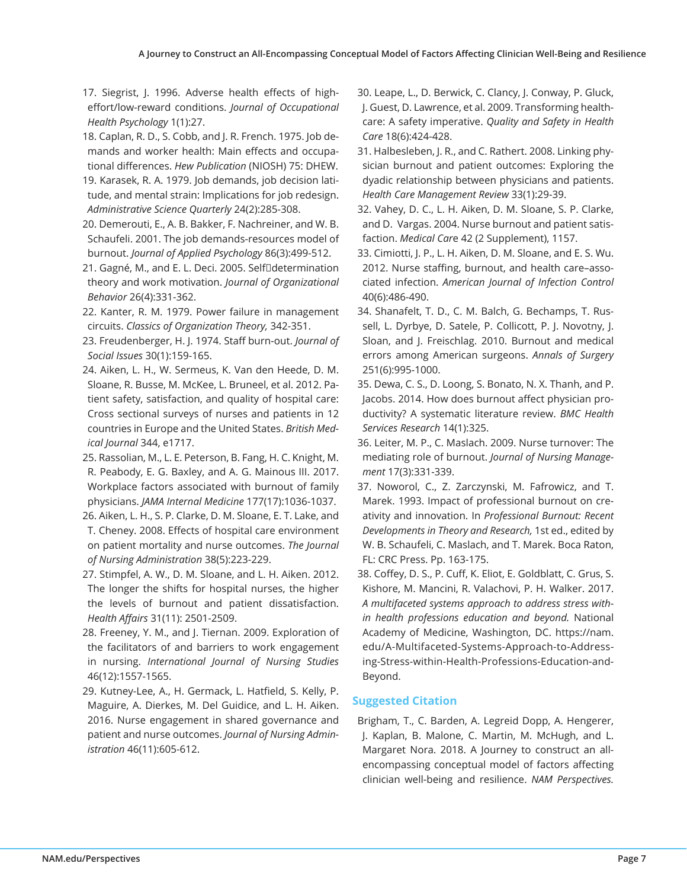- 17. Siegrist, J. 1996. Adverse health effects of higheffort/low-reward conditions. *Journal of Occupational Health Psychology* 1(1):27.
- 18. Caplan, R. D., S. Cobb, and J. R. French. 1975. Job demands and worker health: Main effects and occupational differences. *Hew Publication* (NIOSH) 75: DHEW.
- 19. Karasek, R. A. 1979. Job demands, job decision latitude, and mental strain: Implications for job redesign. *Administrative Science Quarterly* 24(2):285-308.
- 20. Demerouti, E., A. B. Bakker, F. Nachreiner, and W. B. Schaufeli. 2001. The job demands-resources model of burnout. *Journal of Applied Psychology* 86(3):499-512.
- 21. Gagné, M., and E. L. Deci. 2005. Self□determination theory and work motivation. *Journal of Organizational Behavior* 26(4):331-362.
- 22. Kanter, R. M. 1979. Power failure in management circuits. *Classics of Organization Theory,* 342-351.
- 23. Freudenberger, H. J. 1974. Staff burn-out. *Journal of Social Issues* 30(1):159-165.
- 24. Aiken, L. H., W. Sermeus, K. Van den Heede, D. M. Sloane, R. Busse, M. McKee, L. Bruneel, et al. 2012. Patient safety, satisfaction, and quality of hospital care: Cross sectional surveys of nurses and patients in 12 countries in Europe and the United States. *British Medical Journal* 344, e1717.
- 25. Rassolian, M., L. E. Peterson, B. Fang, H. C. Knight, M. R. Peabody, E. G. Baxley, and A. G. Mainous III. 2017. Workplace factors associated with burnout of family physicians. *JAMA Internal Medicine* 177(17):1036-1037.
- 26. Aiken, L. H., S. P. Clarke, D. M. Sloane, E. T. Lake, and T. Cheney. 2008. Effects of hospital care environment on patient mortality and nurse outcomes. *The Journal of Nursing Administration* 38(5):223-229.
- 27. Stimpfel, A. W., D. M. Sloane, and L. H. Aiken. 2012. The longer the shifts for hospital nurses, the higher the levels of burnout and patient dissatisfaction. *Health Affairs* 31(11): 2501-2509.
- 28. Freeney, Y. M., and J. Tiernan. 2009. Exploration of the facilitators of and barriers to work engagement in nursing. *International Journal of Nursing Studies*  46(12):1557-1565.
- 29. Kutney-Lee, A., H. Germack, L. Hatfield, S. Kelly, P. Maguire, A. Dierkes, M. Del Guidice, and L. H. Aiken. 2016. Nurse engagement in shared governance and patient and nurse outcomes. *Journal of Nursing Administration* 46(11):605-612.
- 30. Leape, L., D. Berwick, C. Clancy, J. Conway, P. Gluck, J. Guest, D. Lawrence, et al. 2009. Transforming healthcare: A safety imperative. *Quality and Safety in Health Care* 18(6):424-428.
- 31. Halbesleben, J. R., and C. Rathert. 2008. Linking physician burnout and patient outcomes: Exploring the dyadic relationship between physicians and patients. *Health Care Management Review* 33(1):29-39.
- 32. Vahey, D. C., L. H. Aiken, D. M. Sloane, S. P. Clarke, and D. Vargas. 2004. Nurse burnout and patient satisfaction. *Medical Car*e 42 (2 Supplement), 1157.
- 33. Cimiotti, J. P., L. H. Aiken, D. M. Sloane, and E. S. Wu. 2012. Nurse staffing, burnout, and health care–associated infection. *American Journal of Infection Control*  40(6):486-490.
- 34. Shanafelt, T. D., C. M. Balch, G. Bechamps, T. Russell, L. Dyrbye, D. Satele, P. Collicott, P. J. Novotny, J. Sloan, and J. Freischlag. 2010. Burnout and medical errors among American surgeons. *Annals of Surgery*  251(6):995-1000.
- 35. Dewa, C. S., D. Loong, S. Bonato, N. X. Thanh, and P. Jacobs. 2014. How does burnout affect physician productivity? A systematic literature review. *BMC Health Services Research* 14(1):325.
- 36. Leiter, M. P., C. Maslach. 2009. Nurse turnover: The mediating role of burnout. *Journal of Nursing Management* 17(3):331-339.
- 37. Noworol, C., Z. Zarczynski, M. Fafrowicz, and T. Marek. 1993. Impact of professional burnout on creativity and innovation. In *Professional Burnout: Recent Developments in Theory and Research,* 1st ed., edited by W. B. Schaufeli, C. Maslach, and T. Marek. Boca Raton, FL: CRC Press. Pp. 163-175.
- 38. Coffey, D. S., P. Cuff, K. Eliot, E. Goldblatt, C. Grus, S. Kishore, M. Mancini, R. Valachovi, P. H. Walker. 2017. *A multifaceted systems approach to address stress within health professions education and beyond.* National Academy of Medicine, Washington, DC. https://nam. edu/A-Multifaceted-Systems-Approach-to-Addressing-Stress-within-Health-Professions-Education-and-Beyond.

## **Suggested Citation**

Brigham, T., C. Barden, A. Legreid Dopp, A. Hengerer, J. Kaplan, B. Malone, C. Martin, M. McHugh, and L. Margaret Nora. 2018. A Journey to construct an allencompassing conceptual model of factors affecting clinician well-being and resilience. *NAM Perspectives.*